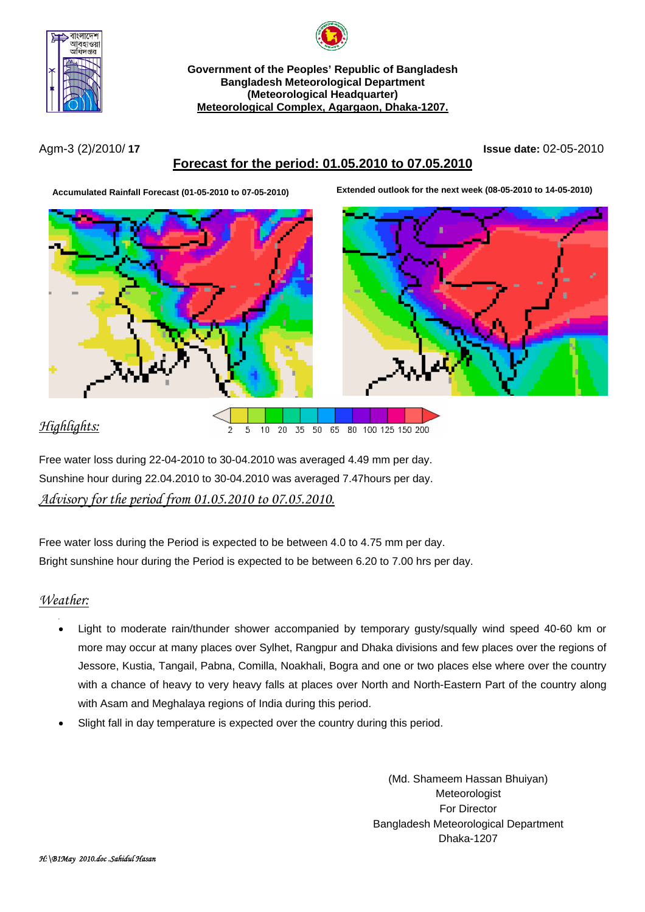



**Government of the Peoples' Republic of Bangladesh Bangladesh Meteorological Department (Meteorological Headquarter) Meteorological Complex, Agargaon, Dhaka-1207.**

Agm-3 (2)/2010/ **17 Issue date:** 02-05-2010

# **Forecast for the period: 01.05.2010 to 07.05.2010**

**Accumulated Rainfall Forecast (01-05-2010 to 07-05-2010) Extended outlook for the next week (08-05-2010 to 14-05-2010)**



# *Highlights:*



Free water loss during 22-04-2010 to 30-04.2010 was averaged 4.49 mm per day. Sunshine hour during 22.04.2010 to 30-04.2010 was averaged 7.47hours per day. *Advisory for the period from 01.05.2010 to 07.05.2010.*

Free water loss during the Period is expected to be between 4.0 to 4.75 mm per day. Bright sunshine hour during the Period is expected to be between 6.20 to 7.00 hrs per day.

## *Weather:*

- • Light to moderate rain/thunder shower accompanied by temporary gusty/squally wind speed 40-60 km or more may occur at many places over Sylhet, Rangpur and Dhaka divisions and few places over the regions of Jessore, Kustia, Tangail, Pabna, Comilla, Noakhali, Bogra and one or two places else where over the country with a chance of heavy to very heavy falls at places over North and North-Eastern Part of the country along with Asam and Meghalaya regions of India during this period.
- Slight fall in day temperature is expected over the country during this period.

(Md. Shameem Hassan Bhuiyan) Meteorologist For Director Bangladesh Meteorological Department Dhaka-1207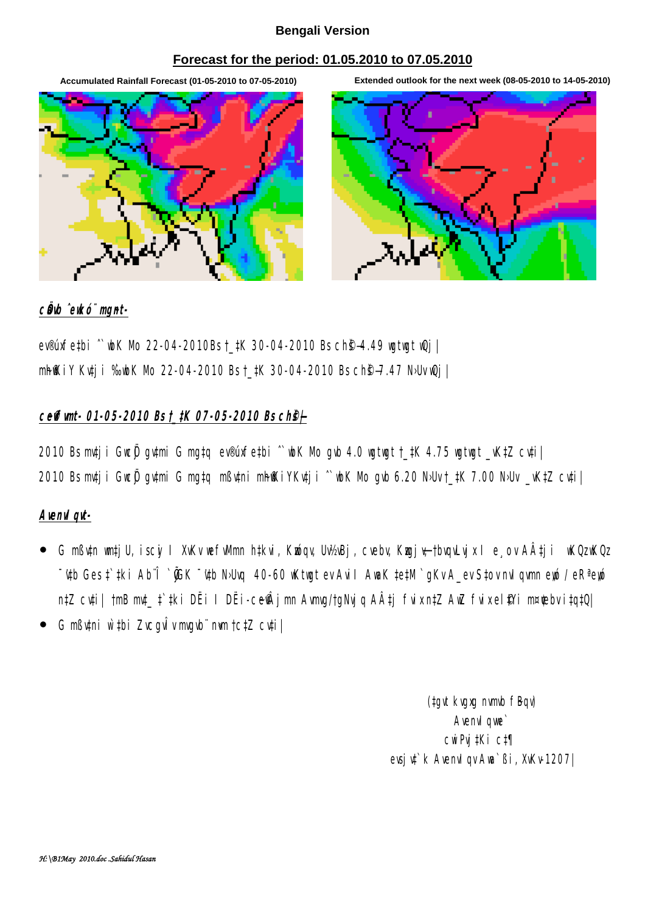#### **Bengali Version**

#### **Forecast for the period: 01.05.2010 to 07.05.2010**

**Accumulated Rainfall Forecast (01-05-2010 to 07-05-2010) Extended outlook for the next week (08-05-2010 to 14-05-2010)**



#### c**Ö**b ̂eukó¨ mgnt-

ev®úxfe#bi ^` wh Nb 22-04-2010Bs †\_#K 30-04-2010 Bs ch<sup>e</sup>\$4.49 wat wat wQj | mh@kiY Kutji %bK Mb 22-04-2010 Bst\_#K 30-04-2010 Bs ch@–7.47 N·Uv Qj |

## **c~e©vfvmt- 01-05-2010 Bs †\_‡K 07-05-2010 Bs ch©š—|**

 $2010$  Bs mtj i Gwc $\ddot{\theta}$  gytmi G mg‡q ev®úxfe‡bi  $\degree$  wbK Mb gyb 4.0 wgtwgt †\_‡K 4.75 wgtwgt \_vK‡Z cyti | 2010 Bs mtj i GwcÖj gytmi G mg‡q mßytni mh@KiYKvtj i ^`wk Mo gvb 6.20 NbUv †\_#K 7.00 NbUv \_vK‡Z cvti|

## Avenu*I* avi-

- G mßytn watjU, iscyi I XvKv wefwMm h‡kvi, Kwóqv, Uv½Bj, cvebv, Kmyjy–†bvqvLvjx I e¸ov AÂtji wKQz wKQz **"Wh Ges † #ki Ab^Î `@K ~'Wh N·Uvq 40-60 wKtwgt ev AviI AwaK ‡e#M `gKv A\_ev S‡ov nvI gymn en / eRª en wordt eth** n‡Z cyti| †mB mt\_ † ‡ki DËi I DËi-ceÂjmn Avmg/†gNyjq A‡j fvixn‡Z AwZ fvixel\$Yi m¤¢ebv i‡q‡Q|
- y G mßv‡ni w`‡bi ZvcgvÎv mvgvb¨ n«vm †c‡Z cv‡i|

(tgvt kvgxg nvmb fBqv) Avenvil que` cwiPvj‡Ki c‡¶ evsiv<sup>\*</sup> k Avenviav Ava<sup>\*</sup> Bi, XvKv-1207|